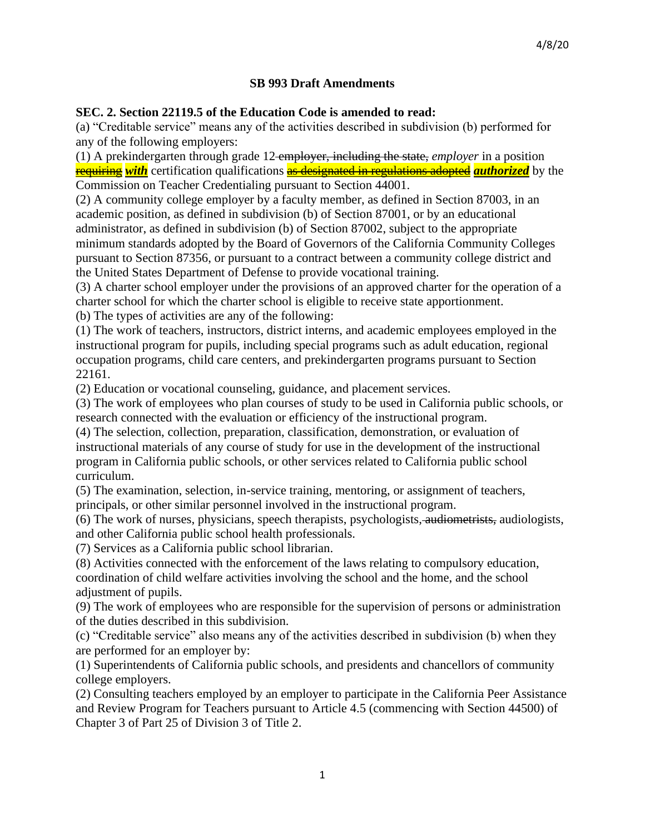#### **SB 993 Draft Amendments**

#### **SEC. 2. Section 22119.5 of the Education Code is amended to read:**

(a) "Creditable service" means any of the activities described in subdivision (b) performed for any of the following employers:

(1) A prekindergarten through grade 12 employer, including the state, *employer* in a position requiring *with* certification qualifications as designated in regulations adopted *authorized* by the Commission on Teacher Credentialing pursuant to Section 44001.

(2) A community college employer by a faculty member, as defined in Section 87003, in an academic position, as defined in subdivision (b) of Section 87001, or by an educational administrator, as defined in subdivision (b) of Section 87002, subject to the appropriate minimum standards adopted by the Board of Governors of the California Community Colleges pursuant to Section 87356, or pursuant to a contract between a community college district and the United States Department of Defense to provide vocational training.

(3) A charter school employer under the provisions of an approved charter for the operation of a charter school for which the charter school is eligible to receive state apportionment. (b) The types of activities are any of the following:

(1) The work of teachers, instructors, district interns, and academic employees employed in the instructional program for pupils, including special programs such as adult education, regional occupation programs, child care centers, and prekindergarten programs pursuant to Section 22161.

(2) Education or vocational counseling, guidance, and placement services.

(3) The work of employees who plan courses of study to be used in California public schools, or research connected with the evaluation or efficiency of the instructional program.

(4) The selection, collection, preparation, classification, demonstration, or evaluation of instructional materials of any course of study for use in the development of the instructional program in California public schools, or other services related to California public school curriculum.

(5) The examination, selection, in-service training, mentoring, or assignment of teachers, principals, or other similar personnel involved in the instructional program.

(6) The work of nurses, physicians, speech therapists, psychologists, audiometrists, audiologists, and other California public school health professionals.

(7) Services as a California public school librarian.

(8) Activities connected with the enforcement of the laws relating to compulsory education, coordination of child welfare activities involving the school and the home, and the school adjustment of pupils.

(9) The work of employees who are responsible for the supervision of persons or administration of the duties described in this subdivision.

(c) "Creditable service" also means any of the activities described in subdivision (b) when they are performed for an employer by:

(1) Superintendents of California public schools, and presidents and chancellors of community college employers.

(2) Consulting teachers employed by an employer to participate in the California Peer Assistance and Review Program for Teachers pursuant to Article 4.5 (commencing with Section 44500) of Chapter 3 of Part 25 of Division 3 of Title 2.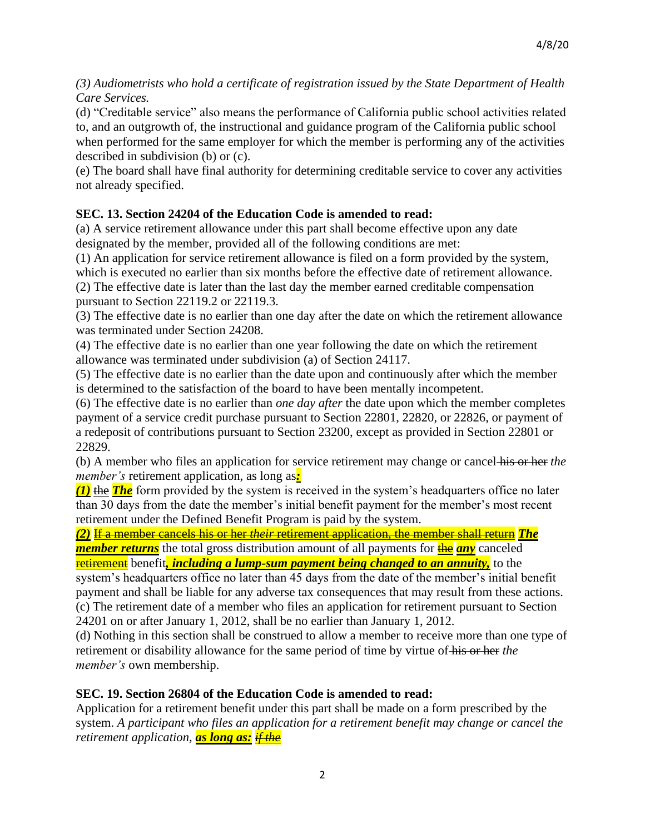*(3) Audiometrists who hold a certificate of registration issued by the State Department of Health Care Services.*

(d) "Creditable service" also means the performance of California public school activities related to, and an outgrowth of, the instructional and guidance program of the California public school when performed for the same employer for which the member is performing any of the activities described in subdivision (b) or (c).

(e) The board shall have final authority for determining creditable service to cover any activities not already specified.

# **SEC. 13. Section 24204 of the Education Code is amended to read:**

(a) A service retirement allowance under this part shall become effective upon any date designated by the member, provided all of the following conditions are met:

(1) An application for service retirement allowance is filed on a form provided by the system, which is executed no earlier than six months before the effective date of retirement allowance.

(2) The effective date is later than the last day the member earned creditable compensation pursuant to Section 22119.2 or 22119.3.

(3) The effective date is no earlier than one day after the date on which the retirement allowance was terminated under Section 24208.

(4) The effective date is no earlier than one year following the date on which the retirement allowance was terminated under subdivision (a) of Section 24117.

(5) The effective date is no earlier than the date upon and continuously after which the member is determined to the satisfaction of the board to have been mentally incompetent.

(6) The effective date is no earlier than *one day after* the date upon which the member completes payment of a service credit purchase pursuant to Section 22801, 22820, or 22826, or payment of a redeposit of contributions pursuant to Section 23200, except as provided in Section 22801 or 22829.

(b) A member who files an application for service retirement may change or cancel his or her *the member's* retirement application, as long as*:*

*(1)* the *The* form provided by the system is received in the system's headquarters office no later than 30 days from the date the member's initial benefit payment for the member's most recent retirement under the Defined Benefit Program is paid by the system.

*(2)* If a member cancels his or her *their* retirement application, the member shall return *The member returns* the total gross distribution amount of all payments for **the** *any* canceled retirement benefit*, including a lump-sum payment being changed to an annuity,* to the

system's headquarters office no later than 45 days from the date of the member's initial benefit payment and shall be liable for any adverse tax consequences that may result from these actions. (c) The retirement date of a member who files an application for retirement pursuant to Section 24201 on or after January 1, 2012, shall be no earlier than January 1, 2012.

(d) Nothing in this section shall be construed to allow a member to receive more than one type of retirement or disability allowance for the same period of time by virtue of his or her *the member's* own membership.

## **SEC. 19. Section 26804 of the Education Code is amended to read:**

Application for a retirement benefit under this part shall be made on a form prescribed by the system. *A participant who files an application for a retirement benefit may change or cancel the retirement application, as long as: if the*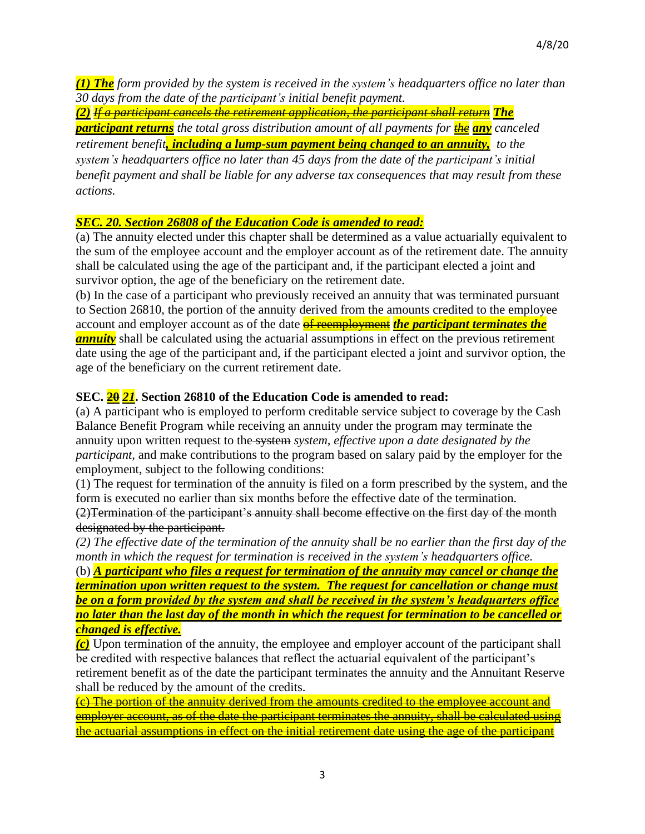*(1) The form provided by the system is received in the system's headquarters office no later than 30 days from the date of the participant's initial benefit payment.*

*(2) If a participant cancels the retirement application, the participant shall return The participant returns the total gross distribution amount of all payments for the any canceled retirement benefit, including a lump-sum payment being changed to an annuity, to the system's headquarters office no later than 45 days from the date of the participant's initial benefit payment and shall be liable for any adverse tax consequences that may result from these actions.*

## *SEC. 20. Section 26808 of the Education Code is amended to read:*

(a) The annuity elected under this chapter shall be determined as a value actuarially equivalent to the sum of the employee account and the employer account as of the retirement date. The annuity shall be calculated using the age of the participant and, if the participant elected a joint and survivor option, the age of the beneficiary on the retirement date.

(b) In the case of a participant who previously received an annuity that was terminated pursuant to Section 26810, the portion of the annuity derived from the amounts credited to the employee account and employer account as of the date of reemployment *the participant terminates the annuity* shall be calculated using the actuarial assumptions in effect on the previous retirement date using the age of the participant and, if the participant elected a joint and survivor option, the age of the beneficiary on the current retirement date.

# **SEC. 20** *21***. Section 26810 of the Education Code is amended to read:**

(a) A participant who is employed to perform creditable service subject to coverage by the Cash Balance Benefit Program while receiving an annuity under the program may terminate the annuity upon written request to the system *system, effective upon a date designated by the participant,* and make contributions to the program based on salary paid by the employer for the employment, subject to the following conditions:

(1) The request for termination of the annuity is filed on a form prescribed by the system, and the form is executed no earlier than six months before the effective date of the termination.

(2)Termination of the participant's annuity shall become effective on the first day of the month designated by the participant.

(2) The effective date of the termination of the annuity shall be no earlier than the first day of the *month in which the request for termination is received in the system's headquarters office.*

(b) *A participant who files a request for termination of the annuity may cancel or change the termination upon written request to the system. The request for cancellation or change must be on a form provided by the system and shall be received in the system's headquarters office no later than the last day of the month in which the request for termination to be cancelled or changed is effective.*

*(c)* Upon termination of the annuity, the employee and employer account of the participant shall be credited with respective balances that reflect the actuarial equivalent of the participant's retirement benefit as of the date the participant terminates the annuity and the Annuitant Reserve shall be reduced by the amount of the credits.

(c) The portion of the annuity derived from the amounts credited to the employee account and employer account, as of the date the participant terminates the annuity, shall be calculated using the actuarial assumptions in effect on the initial retirement date using the age of the participant